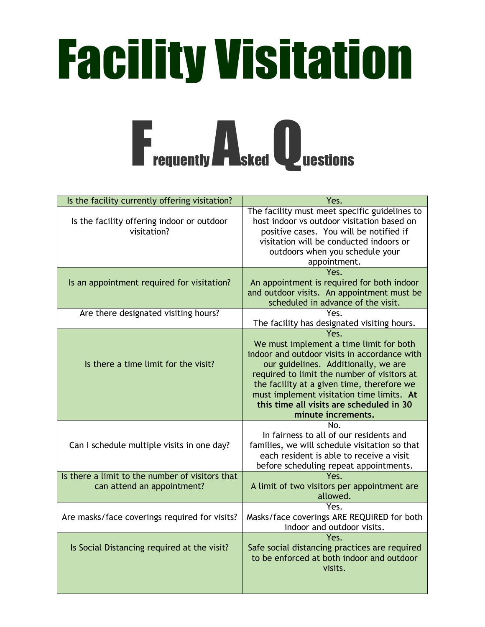## Facility Visitation



| Is the facility currently offering visitation?                                | Yes.                                                                                                                                                                                                                                                                                                                                                |
|-------------------------------------------------------------------------------|-----------------------------------------------------------------------------------------------------------------------------------------------------------------------------------------------------------------------------------------------------------------------------------------------------------------------------------------------------|
| Is the facility offering indoor or outdoor<br>visitation?                     | The facility must meet specific guidelines to<br>host indoor vs outdoor visitation based on<br>positive cases. You will be notified if<br>visitation will be conducted indoors or<br>outdoors when you schedule your<br>appointment.                                                                                                                |
| Is an appointment required for visitation?                                    | Yes.<br>An appointment is required for both indoor<br>and outdoor visits. An appointment must be<br>scheduled in advance of the visit.                                                                                                                                                                                                              |
| Are there designated visiting hours?                                          | Yes.<br>The facility has designated visiting hours.                                                                                                                                                                                                                                                                                                 |
| Is there a time limit for the visit?                                          | Yes.<br>We must implement a time limit for both<br>indoor and outdoor visits in accordance with<br>our guidelines. Additionally, we are<br>required to limit the number of visitors at<br>the facility at a given time, therefore we<br>must implement visitation time limits. At<br>this time all visits are scheduled in 30<br>minute increments. |
| Can I schedule multiple visits in one day?                                    | No.<br>In fairness to all of our residents and<br>families, we will schedule visitation so that<br>each resident is able to receive a visit<br>before scheduling repeat appointments.                                                                                                                                                               |
| Is there a limit to the number of visitors that<br>can attend an appointment? | Yes.<br>A limit of two visitors per appointment are<br>allowed.                                                                                                                                                                                                                                                                                     |
| Are masks/face coverings required for visits?                                 | Yes.<br>Masks/face coverings ARE REQUIRED for both<br>indoor and outdoor visits.                                                                                                                                                                                                                                                                    |
| Is Social Distancing required at the visit?                                   | Yes.<br>Safe social distancing practices are required<br>to be enforced at both indoor and outdoor<br>visits.                                                                                                                                                                                                                                       |